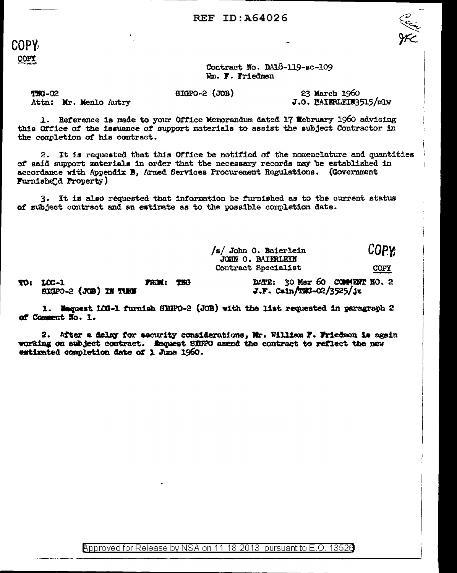COPY COPY

Contract No. DA18-119-sc-109 Wm. F. Friedman

 $510P0 - 2$   $(JOB)$ 

23 March 1960 J.O. BAIERLEIN3515/mlw

**TRG-02** Attn: Mr. Menlo Autry

1. Reference is made to your Office Memorandum dated 17 Webruary 1960 advising this Office of the issuance of support materials to assist the subject Contractor in the completion of his contract.

2. It is requested that this Office be notified of the nomenclature and quantities of said support materials in order that the necessary records may be established in accordance with Appendix B, Armed Services Procurement Regulations. (Government Furnishe d Property)

3. It is also requested that information be furnished as to the current status of subject contract and an estimate as to the possible completion date.

> **COPY** /s/ John O. Baierlein JOHN O. BAIERLEIN Contract Specialist **COPY**

TO: 100-1 FROM: THO SIGPO-2 (JOB) IN TURK

DATE: 30 Mar 60 COMMENT NO. 2  $J.F.$  Cain/TMG-02/3525/jz

1. Naguest 103-1 furnish SIGPO-2 (JOB) with the list requested in paragraph 2 of Comment No. 1.

2. After a delay for security considerations. Mr. William F. Friedman is again working on subject contract. Maquest SICFO amend the contract to reflect the new estimated completion date of 1 June 1960.

Approved for Release by NSA on 11-18-2013 pursuant to E.O. 13526